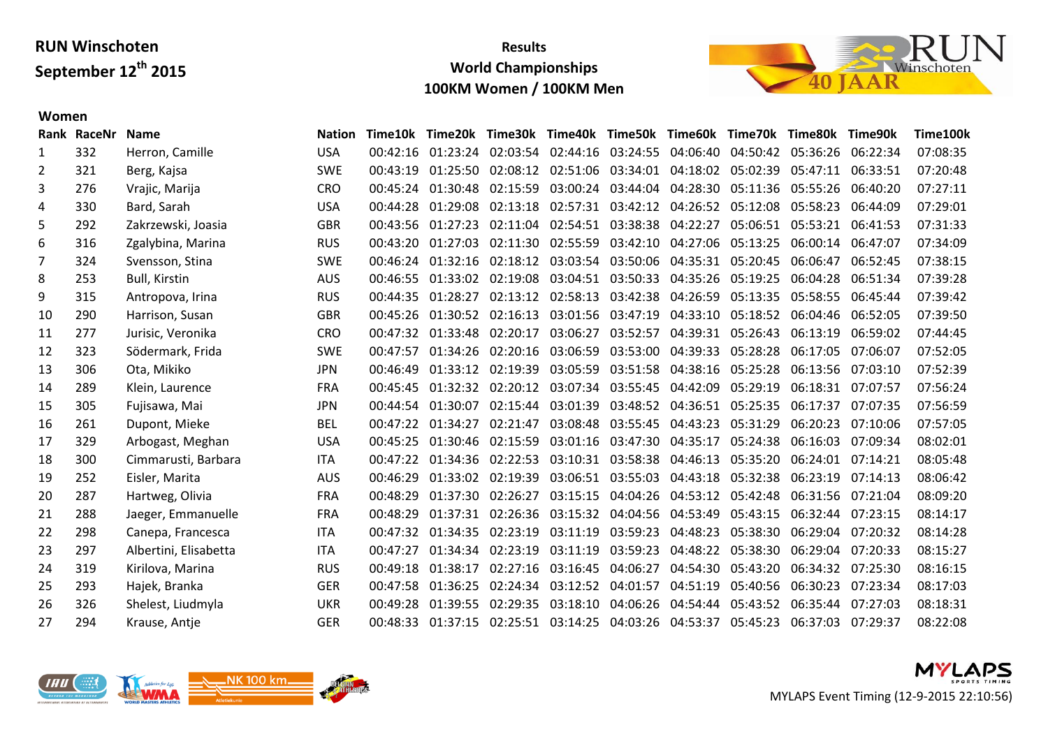**Women**

#### **Results World Championships 100KM Women / 100KM Men**



#### **Rank RaceNr Name Nation Time10k Time20k Time30k Time40k Time50k Time60k Time70k Time80k Time90k Time100k** 332 Herron, Camille USA 00:42:16 01:23:24 02:03:54 02:44:16 03:24:55 04:06:40 04:50:42 05:36:26 06:22:34 07:08:35 321 Berg, Kajsa SWE 00:43:19 01:25:50 02:08:12 02:51:06 03:34:01 04:18:02 05:02:39 05:47:11 06:33:51 07:20:48 276 Vrajic, Marija CRO 00:45:24 01:30:48 02:15:59 03:00:24 03:44:04 04:28:30 05:11:36 05:55:26 06:40:20 07:27:11 330 Bard, Sarah USA 00:44:28 01:29:08 02:13:18 02:57:31 03:42:12 04:26:52 05:12:08 05:58:23 06:44:09 07:29:01 292 Zakrzewski, Joasia GBR 00:43:56 01:27:23 02:11:04 02:54:51 03:38:38 04:22:27 05:06:51 05:53:21 06:41:53 07:31:33 316 Zgalybina, Marina RUS 00:43:20 01:27:03 02:11:30 02:55:59 03:42:10 04:27:06 05:13:25 06:00:14 06:47:07 07:34:09 324 Svensson, Stina SWE 00:46:24 01:32:16 02:18:12 03:03:54 03:50:06 04:35:31 05:20:45 06:06:47 06:52:45 07:38:15 253 Bull, Kirstin AUS 00:46:55 01:33:02 02:19:08 03:04:51 03:50:33 04:35:26 05:19:25 06:04:28 06:51:34 07:39:28 315 Antropova, Irina RUS 00:44:35 01:28:27 02:13:12 02:58:13 03:42:38 04:26:59 05:13:35 05:58:55 06:45:44 07:39:42 290 Harrison, Susan GBR 00:45:26 01:30:52 02:16:13 03:01:56 03:47:19 04:33:10 05:18:52 06:04:46 06:52:05 07:39:50 277 Jurisic, Veronika CRO 00:47:32 01:33:48 02:20:17 03:06:27 03:52:57 04:39:31 05:26:43 06:13:19 06:59:02 07:44:45 323 Södermark, Frida SWE 00:47:57 01:34:26 02:20:16 03:06:59 03:53:00 04:39:33 05:28:28 06:17:05 07:06:07 07:52:05 306 Ota, Mikiko JPN 00:46:49 01:33:12 02:19:39 03:05:59 03:51:58 04:38:16 05:25:28 06:13:56 07:03:10 07:52:39 289 Klein, Laurence FRA 00:45:45 01:32:32 02:20:12 03:07:34 03:55:45 04:42:09 05:29:19 06:18:31 07:07:57 07:56:24 305 Fujisawa, Mai JPN 00:44:54 01:30:07 02:15:44 03:01:39 03:48:52 04:36:51 05:25:35 06:17:37 07:07:35 07:56:59 261 Dupont, Mieke BEL 00:47:22 01:34:27 02:21:47 03:08:48 03:55:45 04:43:23 05:31:29 06:20:23 07:10:06 07:57:05 329 Arbogast, Meghan USA 00:45:25 01:30:46 02:15:59 03:01:16 03:47:30 04:35:17 05:24:38 06:16:03 07:09:34 08:02:01 300 Cimmarusti, Barbara ITA 00:47:22 01:34:36 02:22:53 03:10:31 03:58:38 04:46:13 05:35:20 06:24:01 07:14:21 08:05:48 252 Eisler, Marita AUS 00:46:29 01:33:02 02:19:39 03:06:51 03:55:03 04:43:18 05:32:38 06:23:19 07:14:13 08:06:42 287 Hartweg, Olivia FRA 00:48:29 01:37:30 02:26:27 03:15:15 04:04:26 04:53:12 05:42:48 06:31:56 07:21:04 08:09:20 288 Jaeger, Emmanuelle FRA 00:48:29 01:37:31 02:26:36 03:15:32 04:04:56 04:53:49 05:43:15 06:32:44 07:23:15 08:14:17 298 Canepa, Francesca ITA 00:47:32 01:34:35 02:23:19 03:11:19 03:59:23 04:48:23 05:38:30 06:29:04 07:20:32 08:14:28 297 Albertini, Elisabetta ITA 00:47:27 01:34:34 02:23:19 03:11:19 03:59:23 04:48:22 05:38:30 06:29:04 07:20:33 08:15:27 319 Kirilova, Marina RUS 00:49:18 01:38:17 02:27:16 03:16:45 04:06:27 04:54:30 05:43:20 06:34:32 07:25:30 08:16:15 293 Hajek, Branka GER 00:47:58 01:36:25 02:24:34 03:12:52 04:01:57 04:51:19 05:40:56 06:30:23 07:23:34 08:17:03 326 Shelest, Liudmyla UKR 00:49:28 01:39:55 02:29:35 03:18:10 04:06:26 04:54:44 05:43:52 06:35:44 07:27:03 08:18:31 294 Krause, Antje GER 00:48:33 01:37:15 02:25:51 03:14:25 04:03:26 04:53:37 05:45:23 06:37:03 07:29:37 08:22:08



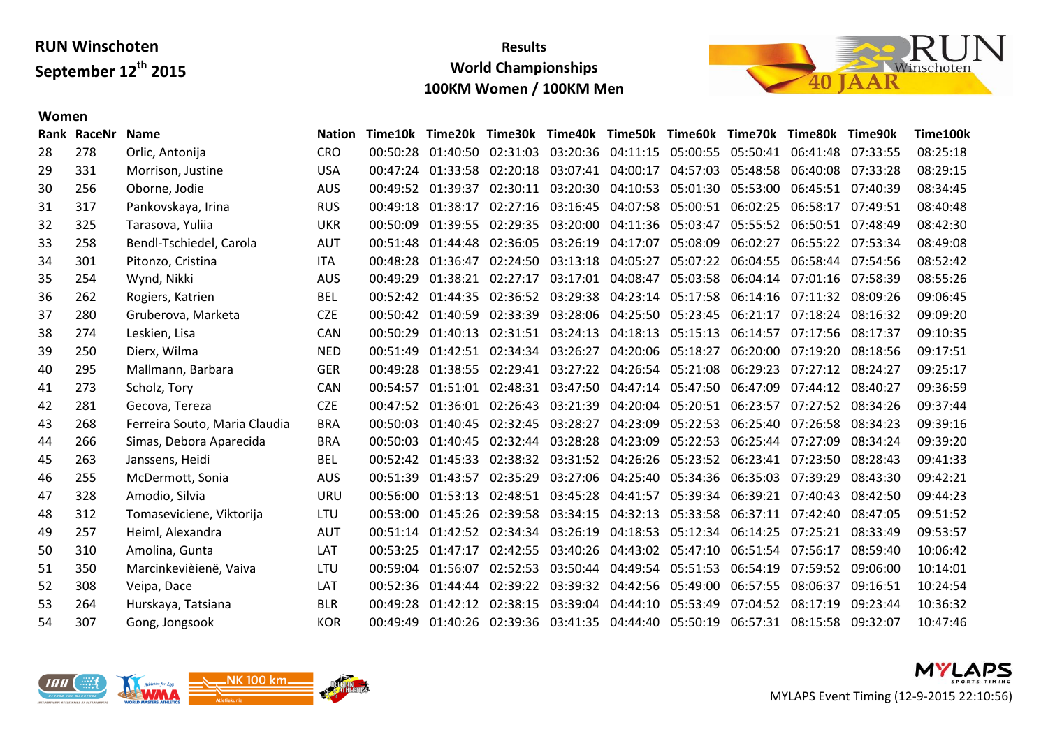## **Results World Championships 100KM Women / 100KM Men**



#### **Women**

|     | <b>Name</b>                   | <b>Nation</b> | Time10k  |          |                                                       |                                                                                                                                                                                                                                                                                                            |                                  |                                                                                                                                  |                                                                                                                                                                                                                                                                                                                                                    |                                                                                                                                                                                                                                                 |                                                                                                                                                                                                                                                                                                                                                                                                                                                                                                                                                                      | Time100k                                                                                                                                                                                                                                                                                                                                                                                                                                                               |
|-----|-------------------------------|---------------|----------|----------|-------------------------------------------------------|------------------------------------------------------------------------------------------------------------------------------------------------------------------------------------------------------------------------------------------------------------------------------------------------------------|----------------------------------|----------------------------------------------------------------------------------------------------------------------------------|----------------------------------------------------------------------------------------------------------------------------------------------------------------------------------------------------------------------------------------------------------------------------------------------------------------------------------------------------|-------------------------------------------------------------------------------------------------------------------------------------------------------------------------------------------------------------------------------------------------|----------------------------------------------------------------------------------------------------------------------------------------------------------------------------------------------------------------------------------------------------------------------------------------------------------------------------------------------------------------------------------------------------------------------------------------------------------------------------------------------------------------------------------------------------------------------|------------------------------------------------------------------------------------------------------------------------------------------------------------------------------------------------------------------------------------------------------------------------------------------------------------------------------------------------------------------------------------------------------------------------------------------------------------------------|
| 278 | Orlic, Antonija               | <b>CRO</b>    |          |          |                                                       |                                                                                                                                                                                                                                                                                                            |                                  |                                                                                                                                  |                                                                                                                                                                                                                                                                                                                                                    |                                                                                                                                                                                                                                                 |                                                                                                                                                                                                                                                                                                                                                                                                                                                                                                                                                                      | 08:25:18                                                                                                                                                                                                                                                                                                                                                                                                                                                               |
| 331 | Morrison, Justine             | <b>USA</b>    |          |          |                                                       |                                                                                                                                                                                                                                                                                                            |                                  | 04:57:03                                                                                                                         | 05:48:58                                                                                                                                                                                                                                                                                                                                           |                                                                                                                                                                                                                                                 |                                                                                                                                                                                                                                                                                                                                                                                                                                                                                                                                                                      | 08:29:15                                                                                                                                                                                                                                                                                                                                                                                                                                                               |
| 256 | Oborne, Jodie                 | <b>AUS</b>    |          |          |                                                       |                                                                                                                                                                                                                                                                                                            |                                  |                                                                                                                                  |                                                                                                                                                                                                                                                                                                                                                    |                                                                                                                                                                                                                                                 |                                                                                                                                                                                                                                                                                                                                                                                                                                                                                                                                                                      | 08:34:45                                                                                                                                                                                                                                                                                                                                                                                                                                                               |
| 317 | Pankovskaya, Irina            | <b>RUS</b>    |          |          |                                                       |                                                                                                                                                                                                                                                                                                            |                                  |                                                                                                                                  | 06:02:25                                                                                                                                                                                                                                                                                                                                           |                                                                                                                                                                                                                                                 | 07:49:51                                                                                                                                                                                                                                                                                                                                                                                                                                                                                                                                                             | 08:40:48                                                                                                                                                                                                                                                                                                                                                                                                                                                               |
| 325 | Tarasova, Yuliia              | <b>UKR</b>    | 00:50:09 | 01:39:55 |                                                       |                                                                                                                                                                                                                                                                                                            |                                  |                                                                                                                                  | 05:55:52                                                                                                                                                                                                                                                                                                                                           |                                                                                                                                                                                                                                                 |                                                                                                                                                                                                                                                                                                                                                                                                                                                                                                                                                                      | 08:42:30                                                                                                                                                                                                                                                                                                                                                                                                                                                               |
| 258 | Bendl-Tschiedel, Carola       | <b>AUT</b>    |          |          |                                                       |                                                                                                                                                                                                                                                                                                            |                                  | 05:08:09                                                                                                                         | 06:02:27                                                                                                                                                                                                                                                                                                                                           |                                                                                                                                                                                                                                                 |                                                                                                                                                                                                                                                                                                                                                                                                                                                                                                                                                                      | 08:49:08                                                                                                                                                                                                                                                                                                                                                                                                                                                               |
| 301 | Pitonzo, Cristina             | <b>ITA</b>    | 00:48:28 |          |                                                       |                                                                                                                                                                                                                                                                                                            |                                  |                                                                                                                                  |                                                                                                                                                                                                                                                                                                                                                    |                                                                                                                                                                                                                                                 |                                                                                                                                                                                                                                                                                                                                                                                                                                                                                                                                                                      | 08:52:42                                                                                                                                                                                                                                                                                                                                                                                                                                                               |
| 254 | Wynd, Nikki                   | <b>AUS</b>    | 00:49:29 |          | 02:27:17                                              |                                                                                                                                                                                                                                                                                                            |                                  |                                                                                                                                  |                                                                                                                                                                                                                                                                                                                                                    |                                                                                                                                                                                                                                                 |                                                                                                                                                                                                                                                                                                                                                                                                                                                                                                                                                                      | 08:55:26                                                                                                                                                                                                                                                                                                                                                                                                                                                               |
| 262 | Rogiers, Katrien              | <b>BEL</b>    |          |          |                                                       |                                                                                                                                                                                                                                                                                                            |                                  |                                                                                                                                  |                                                                                                                                                                                                                                                                                                                                                    |                                                                                                                                                                                                                                                 |                                                                                                                                                                                                                                                                                                                                                                                                                                                                                                                                                                      | 09:06:45                                                                                                                                                                                                                                                                                                                                                                                                                                                               |
| 280 | Gruberova, Marketa            | <b>CZE</b>    |          |          |                                                       |                                                                                                                                                                                                                                                                                                            |                                  |                                                                                                                                  |                                                                                                                                                                                                                                                                                                                                                    |                                                                                                                                                                                                                                                 |                                                                                                                                                                                                                                                                                                                                                                                                                                                                                                                                                                      | 09:09:20                                                                                                                                                                                                                                                                                                                                                                                                                                                               |
| 274 | Leskien, Lisa                 | CAN           | 00:50:29 | 01:40:13 |                                                       |                                                                                                                                                                                                                                                                                                            |                                  | 05:15:13                                                                                                                         |                                                                                                                                                                                                                                                                                                                                                    |                                                                                                                                                                                                                                                 |                                                                                                                                                                                                                                                                                                                                                                                                                                                                                                                                                                      | 09:10:35                                                                                                                                                                                                                                                                                                                                                                                                                                                               |
| 250 | Dierx, Wilma                  | <b>NED</b>    | 00:51:49 |          |                                                       |                                                                                                                                                                                                                                                                                                            |                                  | 05:18:27                                                                                                                         |                                                                                                                                                                                                                                                                                                                                                    |                                                                                                                                                                                                                                                 |                                                                                                                                                                                                                                                                                                                                                                                                                                                                                                                                                                      | 09:17:51                                                                                                                                                                                                                                                                                                                                                                                                                                                               |
| 295 | Mallmann, Barbara             | <b>GER</b>    | 00:49:28 |          |                                                       |                                                                                                                                                                                                                                                                                                            |                                  |                                                                                                                                  |                                                                                                                                                                                                                                                                                                                                                    |                                                                                                                                                                                                                                                 |                                                                                                                                                                                                                                                                                                                                                                                                                                                                                                                                                                      | 09:25:17                                                                                                                                                                                                                                                                                                                                                                                                                                                               |
| 273 | Scholz, Tory                  | <b>CAN</b>    |          |          |                                                       |                                                                                                                                                                                                                                                                                                            |                                  |                                                                                                                                  |                                                                                                                                                                                                                                                                                                                                                    |                                                                                                                                                                                                                                                 |                                                                                                                                                                                                                                                                                                                                                                                                                                                                                                                                                                      | 09:36:59                                                                                                                                                                                                                                                                                                                                                                                                                                                               |
| 281 | Gecova, Tereza                | <b>CZE</b>    |          |          |                                                       |                                                                                                                                                                                                                                                                                                            |                                  |                                                                                                                                  |                                                                                                                                                                                                                                                                                                                                                    |                                                                                                                                                                                                                                                 |                                                                                                                                                                                                                                                                                                                                                                                                                                                                                                                                                                      | 09:37:44                                                                                                                                                                                                                                                                                                                                                                                                                                                               |
| 268 | Ferreira Souto, Maria Claudia | <b>BRA</b>    | 00:50:03 | 01:40:45 |                                                       |                                                                                                                                                                                                                                                                                                            | 04:23:09                         | 05:22:53                                                                                                                         |                                                                                                                                                                                                                                                                                                                                                    |                                                                                                                                                                                                                                                 | 08:34:23                                                                                                                                                                                                                                                                                                                                                                                                                                                                                                                                                             | 09:39:16                                                                                                                                                                                                                                                                                                                                                                                                                                                               |
| 266 | Simas, Debora Aparecida       | <b>BRA</b>    | 00:50:03 |          |                                                       |                                                                                                                                                                                                                                                                                                            |                                  |                                                                                                                                  |                                                                                                                                                                                                                                                                                                                                                    |                                                                                                                                                                                                                                                 | 08:34:24                                                                                                                                                                                                                                                                                                                                                                                                                                                                                                                                                             | 09:39:20                                                                                                                                                                                                                                                                                                                                                                                                                                                               |
| 263 | Janssens, Heidi               | <b>BEL</b>    |          |          |                                                       |                                                                                                                                                                                                                                                                                                            |                                  |                                                                                                                                  |                                                                                                                                                                                                                                                                                                                                                    |                                                                                                                                                                                                                                                 |                                                                                                                                                                                                                                                                                                                                                                                                                                                                                                                                                                      | 09:41:33                                                                                                                                                                                                                                                                                                                                                                                                                                                               |
| 255 | McDermott, Sonia              | <b>AUS</b>    | 00:51:39 | 01:43:57 |                                                       |                                                                                                                                                                                                                                                                                                            |                                  |                                                                                                                                  |                                                                                                                                                                                                                                                                                                                                                    | 07:39:29                                                                                                                                                                                                                                        | 08:43:30                                                                                                                                                                                                                                                                                                                                                                                                                                                                                                                                                             | 09:42:21                                                                                                                                                                                                                                                                                                                                                                                                                                                               |
| 328 | Amodio, Silvia                | <b>URU</b>    |          |          |                                                       |                                                                                                                                                                                                                                                                                                            |                                  |                                                                                                                                  |                                                                                                                                                                                                                                                                                                                                                    |                                                                                                                                                                                                                                                 | 08:42:50                                                                                                                                                                                                                                                                                                                                                                                                                                                                                                                                                             | 09:44:23                                                                                                                                                                                                                                                                                                                                                                                                                                                               |
| 312 | Tomaseviciene, Viktorija      | LTU           |          | 01:45:26 |                                                       |                                                                                                                                                                                                                                                                                                            |                                  |                                                                                                                                  |                                                                                                                                                                                                                                                                                                                                                    |                                                                                                                                                                                                                                                 |                                                                                                                                                                                                                                                                                                                                                                                                                                                                                                                                                                      | 09:51:52                                                                                                                                                                                                                                                                                                                                                                                                                                                               |
| 257 | Heiml, Alexandra              | <b>AUT</b>    | 00:51:14 |          |                                                       |                                                                                                                                                                                                                                                                                                            |                                  |                                                                                                                                  |                                                                                                                                                                                                                                                                                                                                                    |                                                                                                                                                                                                                                                 | 08:33:49                                                                                                                                                                                                                                                                                                                                                                                                                                                                                                                                                             | 09:53:57                                                                                                                                                                                                                                                                                                                                                                                                                                                               |
| 310 | Amolina, Gunta                | LAT           | 00:53:25 |          |                                                       |                                                                                                                                                                                                                                                                                                            |                                  |                                                                                                                                  |                                                                                                                                                                                                                                                                                                                                                    |                                                                                                                                                                                                                                                 | 08:59:40                                                                                                                                                                                                                                                                                                                                                                                                                                                                                                                                                             | 10:06:42                                                                                                                                                                                                                                                                                                                                                                                                                                                               |
| 350 | Marcinkevièienë, Vaiva        | LTU           | 00:59:04 | 01:56:07 |                                                       |                                                                                                                                                                                                                                                                                                            |                                  |                                                                                                                                  | 06:54:19                                                                                                                                                                                                                                                                                                                                           |                                                                                                                                                                                                                                                 |                                                                                                                                                                                                                                                                                                                                                                                                                                                                                                                                                                      | 10:14:01                                                                                                                                                                                                                                                                                                                                                                                                                                                               |
| 308 | Veipa, Dace                   | LAT           | 00:52:36 |          |                                                       |                                                                                                                                                                                                                                                                                                            |                                  | 05:49:00                                                                                                                         | 06:57:55                                                                                                                                                                                                                                                                                                                                           | 08:06:37                                                                                                                                                                                                                                        | 09:16:51                                                                                                                                                                                                                                                                                                                                                                                                                                                                                                                                                             | 10:24:54                                                                                                                                                                                                                                                                                                                                                                                                                                                               |
| 264 | Hurskaya, Tatsiana            | <b>BLR</b>    | 00:49:28 |          |                                                       |                                                                                                                                                                                                                                                                                                            |                                  | 05:53:49                                                                                                                         |                                                                                                                                                                                                                                                                                                                                                    |                                                                                                                                                                                                                                                 | 09:23:44                                                                                                                                                                                                                                                                                                                                                                                                                                                                                                                                                             | 10:36:32                                                                                                                                                                                                                                                                                                                                                                                                                                                               |
| 307 | Gong, Jongsook                | <b>KOR</b>    | 00:49:49 |          |                                                       |                                                                                                                                                                                                                                                                                                            |                                  |                                                                                                                                  |                                                                                                                                                                                                                                                                                                                                                    |                                                                                                                                                                                                                                                 |                                                                                                                                                                                                                                                                                                                                                                                                                                                                                                                                                                      | 10:47:46                                                                                                                                                                                                                                                                                                                                                                                                                                                               |
|     | Rank RaceNr                   |               |          |          | 00:49:52 01:39:37<br>00:54:57<br>00:56:00<br>00:53:00 | Time20k<br>00:47:24 01:33:58<br>00:49:18 01:38:17<br>00:51:48 01:44:48<br>01:36:47<br>01:38:21<br>00:52:42 01:44:35<br>00:50:42 01:40:59<br>01:42:51<br>01:38:55<br>01:51:01<br>00:47:52 01:36:01<br>01:40:45<br>00:52:42 01:45:33<br>01:53:13<br>01:42:52<br>01:47:17<br>01:44:44<br>01:42:12<br>01:40:26 | 02:35:29<br>02:52:53<br>02:39:22 | 02:20:18 03:07:41 04:00:17<br>02:36:05 03:26:19 04:17:07<br>02:24:50 03:13:18 04:05:27<br>03:17:01 04:08:47<br>02:32:45 03:28:27 | 02:30:11 03:20:30 04:10:53<br>02:29:35 03:20:00 04:11:36<br>05:03:47<br>02:31:51 03:24:13 04:18:13<br>02:34:34 03:26:27 04:20:06<br>02:48:51 03:45:28 04:41:57<br>02:39:58 03:34:15 04:32:13<br>02:34:34 03:26:19 04:18:53<br>03:50:44 04:49:54 05:51:53<br>03:39:32 04:42:56<br>02:38:15 03:39:04 04:44:10<br>02:39:36 03:41:35 04:44:40 05:50:19 | 05:01:30<br>02:27:16 03:16:45 04:07:58 05:00:51<br>05:03:58<br>02:29:41 03:27:22 04:26:54 05:21:08<br>02:48:31 03:47:50 04:47:14 05:47:50 06:47:09<br>02:32:44 03:28:28 04:23:09 05:22:53<br>03:27:06 04:25:40 05:34:36<br>05:33:58<br>05:12:34 | Time30k Time40k Time50k Time60k Time70k Time80k<br>00:50:28 01:40:50 02:31:03 03:20:36 04:11:15 05:00:55 05:50:41<br>05:53:00<br>05:07:22 06:04:55<br>06:04:14<br>02:36:52 03:29:38 04:23:14 05:17:58 06:14:16<br>02:33:39 03:28:06 04:25:50 05:23:45 06:21:17<br>06:14:57<br>06:20:00<br>06:29:23<br>02:26:43 03:21:39 04:20:04 05:20:51 06:23:57<br>06:25:40<br>06:25:44 07:27:09<br>02:38:32 03:31:52 04:26:26 05:23:52 06:23:41<br>06:35:03<br>05:39:34 06:39:21<br>06:37:11<br>06:14:25<br>02:42:55 03:40:26 04:43:02 05:47:10 06:51:54<br>07:56:17<br>07:04:52 | Time90k<br>06:41:48 07:33:55<br>06:40:08 07:33:28<br>06:45:51 07:40:39<br>06:58:17<br>06:50:51 07:48:49<br>06:55:22 07:53:34<br>06:58:44 07:54:56<br>07:01:16 07:58:39<br>07:11:32 08:09:26<br>07:18:24 08:16:32<br>07:17:56 08:17:37<br>07:19:20 08:18:56<br>07:27:12 08:24:27<br>07:44:12 08:40:27<br>07:27:52 08:34:26<br>07:26:58<br>07:23:50 08:28:43<br>07:40:43<br>07:42:40 08:47:05<br>07:25:21<br>07:59:52 09:06:00<br>08:17:19<br>06:57:31 08:15:58 09:32:07 |



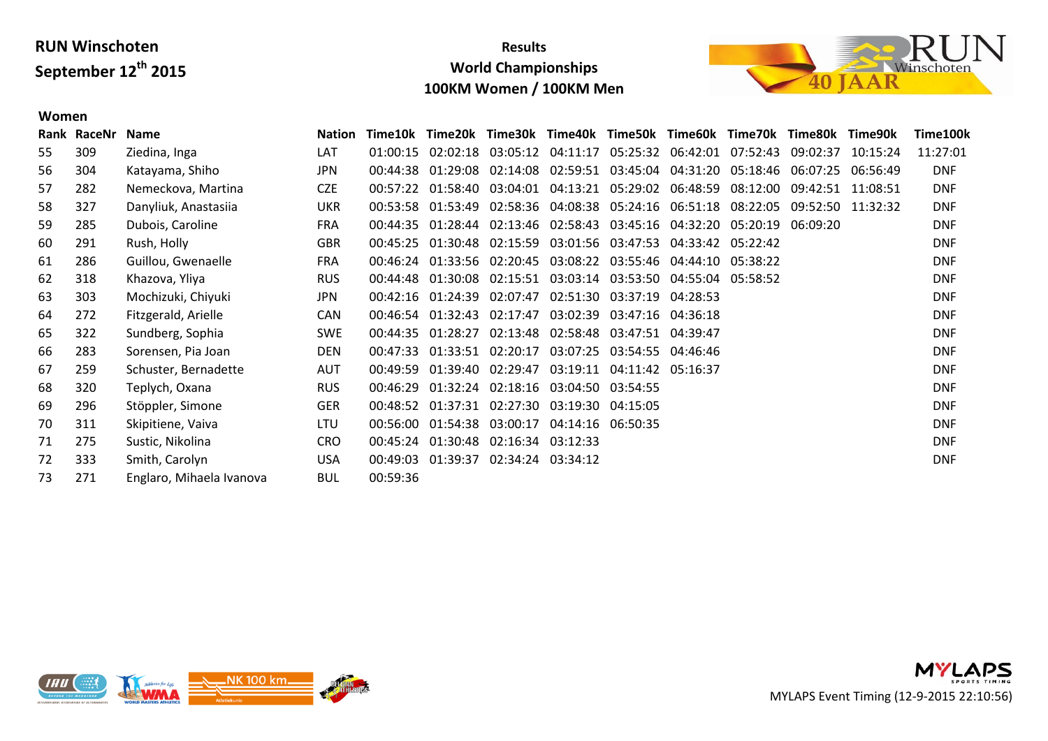**Women**

### **Results World Championships 100KM Women / 100KM Men**



#### **Rank RaceNr Name Nation Time10k Time20k Time30k Time40k Time50k Time60k Time70k Time80k Time90k Time100k** 309 Ziedina, Inga LAT 01:00:15 02:02:18 03:05:12 04:11:17 05:25:32 06:42:01 07:52:43 09:02:37 10:15:24 11:27:01 304 Katayama, Shiho JPN 00:44:38 01:29:08 02:14:08 02:59:51 03:45:04 04:31:20 05:18:46 06:07:25 06:56:49 DNF 282 Nemeckova, Martina CZE 00:57:22 01:58:40 03:04:01 04:13:21 05:29:02 06:48:59 08:12:00 09:42:51 11:08:51 DNF 327 Danyliuk, Anastasiia UKR 00:53:58 01:53:49 02:58:36 04:08:38 05:24:16 06:51:18 08:22:05 09:52:50 11:32:32 DNF 285 Dubois, Caroline FRA 00:44:35 01:28:44 02:13:46 02:58:43 03:45:16 04:32:20 05:20:19 06:09:20 DNF 291 Rush, Holly GBR 00:45:25 01:30:48 02:15:59 03:01:56 03:47:53 04:33:42 05:22:42 DNF 286 Guillou, Gwenaelle FRA 00:46:24 01:33:56 02:20:45 03:08:22 03:55:46 04:44:10 05:38:22 DNF 318 Khazova, Yliya RUS 00:44:48 01:30:08 02:15:51 03:03:14 03:53:50 04:55:04 05:58:52 DNF 303 Mochizuki, Chiyuki JPN 00:42:16 01:24:39 02:07:47 02:51:30 03:37:19 04:28:53 DNF 272 Fitzgerald, Arielle CAN 00:46:54 01:32:43 02:17:47 03:02:39 03:47:16 04:36:18 DNF 322 Sundberg, Sophia SWE 00:44:35 01:28:27 02:13:48 02:58:48 03:47:51 04:39:47 DNF 283 Sorensen, Pia Joan DEN 00:47:33 01:33:51 02:20:17 03:07:25 03:54:55 04:46:46 DNF 259 Schuster, Bernadette AUT 00:49:59 01:39:40 02:29:47 03:19:11 04:11:42 05:16:37 DNF 320 Teplych, Oxana RUS 00:46:29 01:32:24 02:18:16 03:04:50 03:54:55 DNF 296 Stöppler, Simone GER 00:48:52 01:37:31 02:27:30 03:19:30 04:15:05 DNF 311 Skipitiene, Vaiva LTU 00:56:00 01:54:38 03:00:17 04:14:16 06:50:35 DNF 275 Sustic, Nikolina CRO 00:45:24 01:30:48 02:16:34 03:12:33 DNF 333 Smith, Carolyn USA 00:49:03 01:39:37 02:34:24 03:34:12 DNF 271 Englaro, Mihaela Ivanova BUL 00:59:36

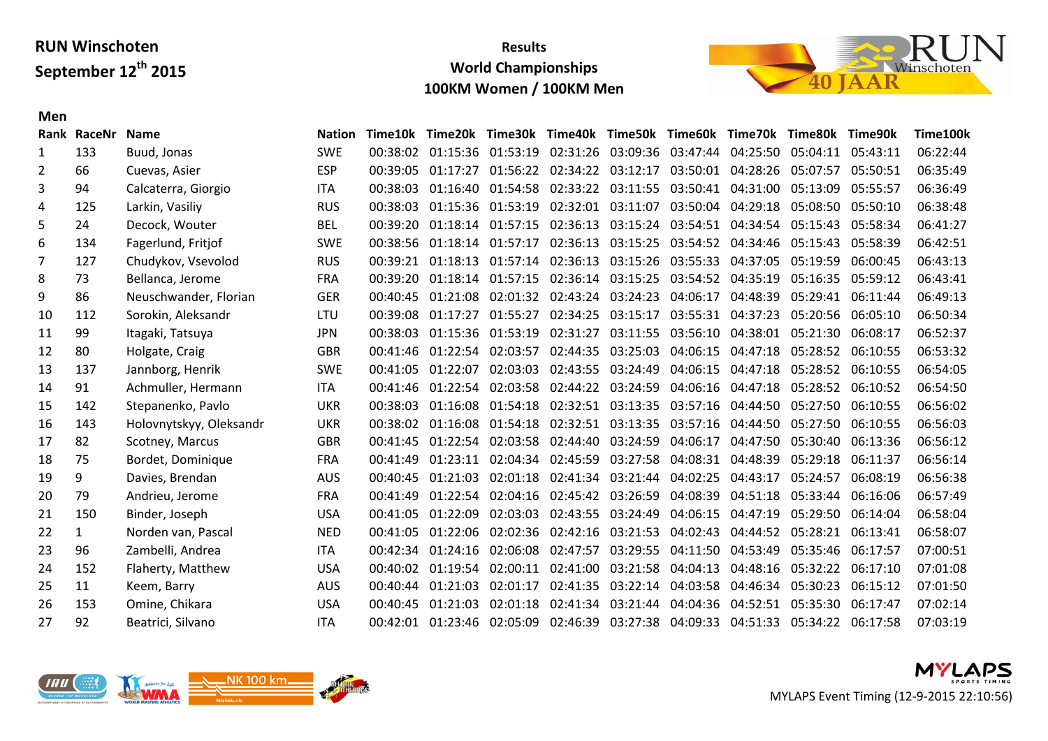## **Results World Championships 100KM Women / 100KM Men**



#### **Men**

|     | Rank RaceNr  | <b>Name</b>             | <b>Nation</b> |          |                   | Time10k Time20k Time30k Time40k Time50k Time60k Time70k Time80k Time90k          |                                                                |                   |                   |                   |                   |                   | Time100k |
|-----|--------------|-------------------------|---------------|----------|-------------------|----------------------------------------------------------------------------------|----------------------------------------------------------------|-------------------|-------------------|-------------------|-------------------|-------------------|----------|
| 1   | 133          | Buud, Jonas             | <b>SWE</b>    |          |                   | 00:38:02 01:15:36 01:53:19 02:31:26 03:09:36 03:47:44 04:25:50 05:04:11 05:43:11 |                                                                |                   |                   |                   |                   |                   | 06:22:44 |
| 2   | 66           | Cuevas, Asier           | <b>ESP</b>    | 00:39:05 | 01:17:27          |                                                                                  | 01:56:22 02:34:22 03:12:17 03:50:01 04:28:26                   |                   |                   |                   | 05:07:57          | 05:50:51          | 06:35:49 |
| 3   | 94           | Calcaterra, Giorgio     | <b>ITA</b>    |          | 00:38:03 01:16:40 |                                                                                  | 01:54:58 02:33:22 03:11:55 03:50:41 04:31:00                   |                   |                   |                   | 05:13:09          | 05:55:57          | 06:36:49 |
| 4   | 125          | Larkin, Vasiliy         | <b>RUS</b>    |          |                   | 00:38:03  01:15:36  01:53:19  02:32:01  03:11:07  03:50:04  04:29:18             |                                                                |                   |                   |                   | 05:08:50 05:50:10 |                   | 06:38:48 |
| 5   | 24           | Decock, Wouter          | <b>BEL</b>    | 00:39:20 | 01:18:14          |                                                                                  | 01:57:15 02:36:13                                              | 03:15:24          |                   | 03:54:51 04:34:54 | 05:15:43          | 05:58:34          | 06:41:27 |
| 6   | 134          | Fagerlund, Fritjof      | <b>SWE</b>    |          |                   | 00:38:56 01:18:14 01:57:17 02:36:13 03:15:25 03:54:52 04:34:46                   |                                                                |                   |                   |                   | 05:15:43 05:58:39 |                   | 06:42:51 |
| 7   | 127          | Chudykov, Vsevolod      | <b>RUS</b>    |          |                   | 00:39:21  01:18:13  01:57:14  02:36:13  03:15:26  03:55:33  04:37:05             |                                                                |                   |                   |                   | 05:19:59 06:00:45 |                   | 06:43:13 |
| 8   | 73           | Bellanca, Jerome        | <b>FRA</b>    | 00:39:20 | 01:18:14          |                                                                                  | 01:57:15 02:36:14 03:15:25 03:54:52 04:35:19                   |                   |                   |                   |                   | 05:16:35 05:59:12 | 06:43:41 |
| 9   | 86           | Neuschwander, Florian   | <b>GER</b>    |          | 00:40:45 01:21:08 |                                                                                  | 02:01:32 02:43:24 03:24:23 04:06:17                            |                   |                   | 04:48:39          | 05:29:41 06:11:44 |                   | 06:49:13 |
| 10  | 112          | Sorokin, Aleksandr      | <b>LTU</b>    |          | 00:39:08 01:17:27 |                                                                                  | 01:55:27 02:34:25 03:15:17 03:55:31 04:37:23                   |                   |                   |                   | 05:20:56 06:05:10 |                   | 06:50:34 |
| 11  | 99           | Itagaki, Tatsuya        | <b>JPN</b>    | 00:38:03 | 01:15:36          |                                                                                  | 01:53:19 02:31:27                                              | 03:11:55 03:56:10 |                   | 04:38:01          | 05:21:30 06:08:17 |                   | 06:52:37 |
| 12  | 80           | Holgate, Craig          | <b>GBR</b>    |          |                   | 00:41:46 01:22:54 02:03:57 02:44:35 03:25:03                                     |                                                                |                   |                   | 04:06:15 04:47:18 | 05:28:52 06:10:55 |                   | 06:53:32 |
| 13  | 137          | Jannborg, Henrik        | <b>SWE</b>    |          | 00:41:05 01:22:07 |                                                                                  | 02:03:03 02:43:55 03:24:49                                     |                   |                   | 04:06:15 04:47:18 | 05:28:52 06:10:55 |                   | 06:54:05 |
| 14  | 91           | Achmuller, Hermann      | <b>ITA</b>    |          | 00:41:46 01:22:54 |                                                                                  | 02:03:58 02:44:22 03:24:59                                     |                   |                   | 04:06:16 04:47:18 | 05:28:52 06:10:52 |                   | 06:54:50 |
| 15  | 142          | Stepanenko, Pavlo       | <b>UKR</b>    |          |                   | 00:38:03  01:16:08  01:54:18  02:32:51  03:13:35  03:57:16  04:44:50             |                                                                |                   |                   |                   | 05:27:50 06:10:55 |                   | 06:56:02 |
| 16  | 143          | Holovnytskyy, Oleksandr | <b>UKR</b>    | 00:38:02 | 01:16:08          |                                                                                  | 01:54:18 02:32:51 03:13:35 03:57:16                            |                   |                   | 04:44:50          | 05:27:50 06:10:55 |                   | 06:56:03 |
| 17  | 82           | Scotney, Marcus         | <b>GBR</b>    |          |                   | 00:41:45  01:22:54  02:03:58  02:44:40  03:24:59                                 |                                                                |                   |                   | 04:06:17 04:47:50 | 05:30:40 06:13:36 |                   | 06:56:12 |
| 18  | 75           | Bordet, Dominique       | <b>FRA</b>    |          |                   | 00:41:49  01:23:11  02:04:34  02:45:59  03:27:58                                 |                                                                |                   | 04:08:31 04:48:39 |                   | 05:29:18 06:11:37 |                   | 06:56:14 |
| 19  | 9            | Davies, Brendan         | <b>AUS</b>    | 00:40:45 | 01:21:03          |                                                                                  | 02:01:18 02:41:34 03:21:44                                     |                   | 04:02:25          | 04:43:17          | 05:24:57          | 06:08:19          | 06:56:38 |
| 20  | 79           | Andrieu, Jerome         | <b>FRA</b>    | 00:41:49 |                   | 01:22:54 02:04:16 02:45:42 03:26:59                                              |                                                                |                   | 04:08:39          | 04:51:18          | 05:33:44 06:16:06 |                   | 06:57:49 |
| 21  | 150          | Binder, Joseph          | <b>USA</b>    |          | 00:41:05 01:22:09 |                                                                                  | 02:03:03 02:43:55 03:24:49                                     |                   |                   | 04:06:15 04:47:19 | 05:29:50 06:14:04 |                   | 06:58:04 |
| 22  | $\mathbf{1}$ | Norden van, Pascal      | <b>NED</b>    | 00:41:05 | 01:22:06          |                                                                                  | 02:02:36 02:42:16 03:21:53                                     |                   | 04:02:43          | 04:44:52          | 05:28:21 06:13:41 |                   | 06:58:07 |
| 23  | 96           | Zambelli, Andrea        | <b>ITA</b>    |          |                   | 00:42:34 01:24:16 02:06:08 02:47:57 03:29:55 04:11:50 04:53:49                   |                                                                |                   |                   |                   | 05:35:46 06:17:57 |                   | 07:00:51 |
| 24  | 152          | Flaherty, Matthew       | <b>USA</b>    | 00:40:02 |                   | 01:19:54 02:00:11 02:41:00 03:21:58                                              |                                                                |                   | 04:04:13          | 04:48:16          | 05:32:22 06:17:10 |                   | 07:01:08 |
| 25  | 11           | Keem, Barry             | <b>AUS</b>    | 00:40:44 | 01:21:03          | 02:01:17                                                                         |                                                                | 02:41:35 03:22:14 | 04:03:58          | 04:46:34          | 05:30:23 06:15:12 |                   | 07:01:50 |
| -26 | 153          | Omine, Chikara          | <b>USA</b>    |          | 00:40:45 01:21:03 |                                                                                  | 02:01:18 02:41:34 03:21:44 04:04:36 04:52:51 05:35:30 06:17:47 |                   |                   |                   |                   |                   | 07:02:14 |
| 27  | 92           | Beatrici, Silvano       | <b>ITA</b>    |          |                   | 00:42:01 01:23:46 02:05:09 02:46:39 03:27:38 04:09:33 04:51:33 05:34:22 06:17:58 |                                                                |                   |                   |                   |                   |                   | 07:03:19 |
|     |              |                         |               |          |                   |                                                                                  |                                                                |                   |                   |                   |                   |                   |          |



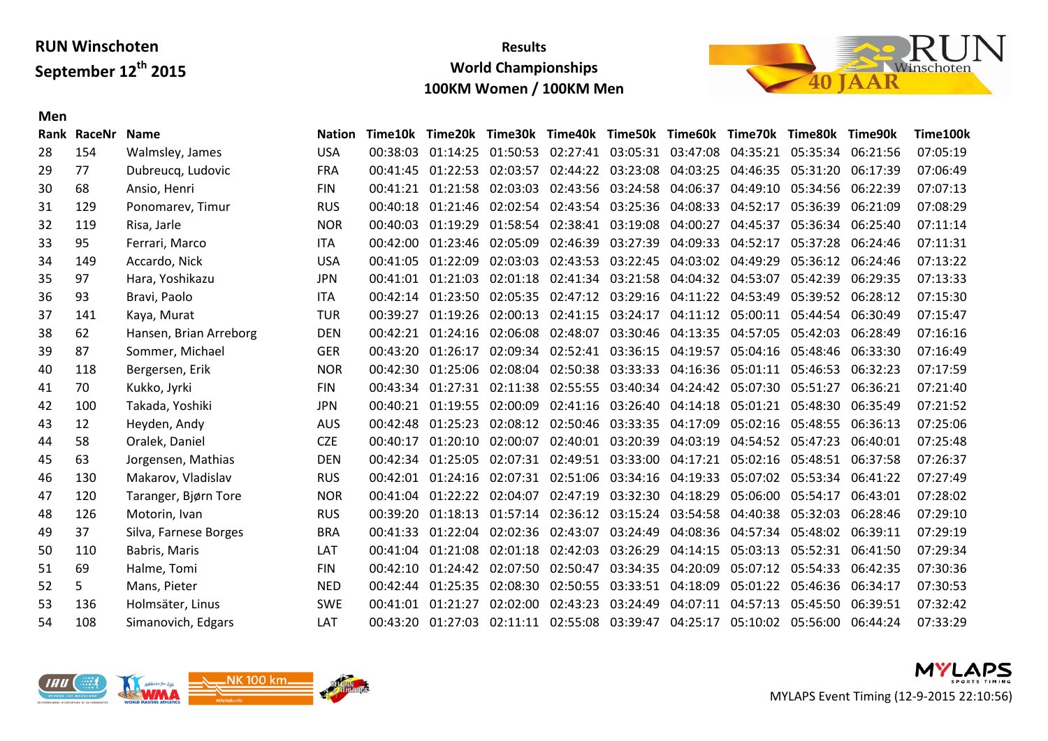**Men**

#### **Results World Championships 100KM Women / 100KM Men**



#### **Rank RaceNr Name Nation Time10k Time20k Time30k Time40k Time50k Time60k Time70k Time80k Time90k Time100k** 154 Walmsley, James USA 00:38:03 01:14:25 01:50:53 02:27:41 03:05:31 03:47:08 04:35:21 05:35:34 06:21:56 07:05:19 77 Dubreucq, Ludovic FRA 00:41:45 01:22:53 02:03:57 02:44:22 03:23:08 04:03:25 04:46:35 05:31:20 06:17:39 07:06:49 68 Ansio, Henri FIN 00:41:21 01:21:58 02:03:03 02:43:56 03:24:58 04:06:37 04:49:10 05:34:56 06:22:39 07:07:13 129 Ponomarev, Timur RUS 00:40:18 01:21:46 02:02:54 02:43:54 03:25:36 04:08:33 04:52:17 05:36:39 06:21:09 07:08:29 119 Risa, Jarle NOR 00:40:03 01:19:29 01:58:54 02:38:41 03:19:08 04:00:27 04:45:37 05:36:34 06:25:40 07:11:14 95 Ferrari, Marco ITA 00:42:00 01:23:46 02:05:09 02:46:39 03:27:39 04:09:33 04:52:17 05:37:28 06:24:46 07:11:31 149 Accardo, Nick USA 00:41:05 01:22:09 02:03:03 02:43:53 03:22:45 04:03:02 04:49:29 05:36:12 06:24:46 07:13:22 97 Hara, Yoshikazu JPN 00:41:01 01:21:03 02:01:18 02:41:34 03:21:58 04:04:32 04:53:07 05:42:39 06:29:35 07:13:33 93 Bravi, Paolo ITA 00:42:14 01:23:50 02:05:35 02:47:12 03:29:16 04:11:22 04:53:49 05:39:52 06:28:12 07:15:30 141 Kaya, Murat TUR 00:39:27 01:19:26 02:00:13 02:41:15 03:24:17 04:11:12 05:00:11 05:44:54 06:30:49 07:15:47 62 Hansen, Brian Arreborg DEN 00:42:21 01:24:16 02:06:08 02:48:07 03:30:46 04:13:35 04:57:05 05:42:03 06:28:49 07:16:16 87 Sommer, Michael GER 00:43:20 01:26:17 02:09:34 02:52:41 03:36:15 04:19:57 05:04:16 05:48:46 06:33:30 07:16:49 118 Bergersen, Erik NOR 00:42:30 01:25:06 02:08:04 02:50:38 03:33:33 04:16:36 05:01:11 05:46:53 06:32:23 07:17:59 70 Kukko, Jyrki FIN 00:43:34 01:27:31 02:11:38 02:55:55 03:40:34 04:24:42 05:07:30 05:51:27 06:36:21 07:21:40 100 Takada, Yoshiki JPN 00:40:21 01:19:55 02:00:09 02:41:16 03:26:40 04:14:18 05:01:21 05:48:30 06:35:49 07:21:52 12 Heyden, Andy AUS 00:42:48 01:25:23 02:08:12 02:50:46 03:33:35 04:17:09 05:02:16 05:48:55 06:36:13 07:25:06 58 Oralek, Daniel CZE 00:40:17 01:20:10 02:00:07 02:40:01 03:20:39 04:03:19 04:54:52 05:47:23 06:40:01 07:25:48 63 Jorgensen, Mathias DEN 00:42:34 01:25:05 02:07:31 02:49:51 03:33:00 04:17:21 05:02:16 05:48:51 06:37:58 07:26:37 130 Makarov, Vladislav RUS 00:42:01 01:24:16 02:07:31 02:51:06 03:34:16 04:19:33 05:07:02 05:53:34 06:41:22 07:27:49 120 Taranger, Bjørn Tore NOR 00:41:04 01:22:22 02:04:07 02:47:19 03:32:30 04:18:29 05:06:00 05:54:17 06:43:01 07:28:02 126 Motorin, Ivan RUS 00:39:20 01:18:13 01:57:14 02:36:12 03:15:24 03:54:58 04:40:38 05:32:03 06:28:46 07:29:10 37 Silva, Farnese Borges BRA 00:41:33 01:22:04 02:02:36 02:43:07 03:24:49 04:08:36 04:57:34 05:48:02 06:39:11 07:29:19 110 Babris, Maris LAT 00:41:04 01:21:08 02:01:18 02:42:03 03:26:29 04:14:15 05:03:13 05:52:31 06:41:50 07:29:34 69 Halme, Tomi FIN 00:42:10 01:24:42 02:07:50 02:50:47 03:34:35 04:20:09 05:07:12 05:54:33 06:42:35 07:30:36 5 Mans, Pieter NED 00:42:44 01:25:35 02:08:30 02:50:55 03:33:51 04:18:09 05:01:22 05:46:36 06:34:17 07:30:53 136 Holmsäter, Linus SWE 00:41:01 01:21:27 02:02:00 02:43:23 03:24:49 04:07:11 04:57:13 05:45:50 06:39:51 07:32:42 108 Simanovich, Edgars LAT 00:43:20 01:27:03 02:11:11 02:55:08 03:39:47 04:25:17 05:10:02 05:56:00 06:44:24 07:33:29



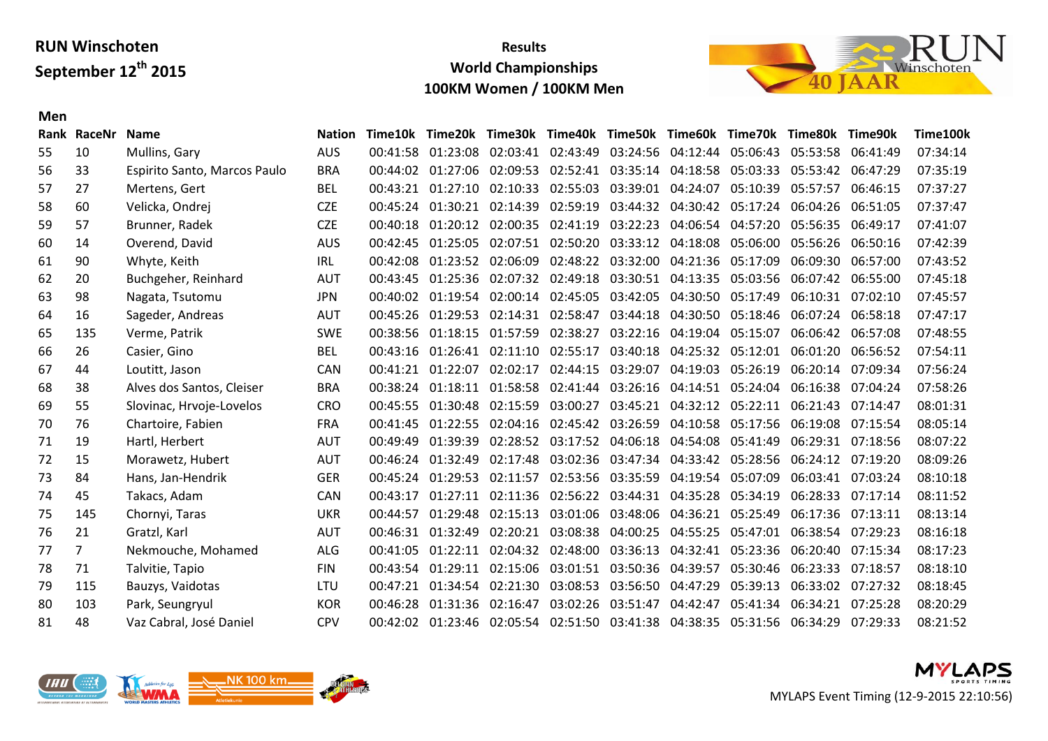## **Results World Championships 100KM Women / 100KM Men**



#### **Men**

|    | Rank RaceNr    | <b>Name</b>                  | <b>Nation</b> | Time10k  |                   | Time20k Time30k Time40k Time50k Time60k Time70k Time80k Time90k                  |                                              |                            |                            |                   |                   |                   | Time100k |
|----|----------------|------------------------------|---------------|----------|-------------------|----------------------------------------------------------------------------------|----------------------------------------------|----------------------------|----------------------------|-------------------|-------------------|-------------------|----------|
| 55 | 10             | Mullins, Gary                | <b>AUS</b>    |          |                   | 00:41:58 01:23:08 02:03:41 02:43:49                                              |                                              | 03:24:56 04:12:44 05:06:43 |                            |                   | 05:53:58 06:41:49 |                   | 07:34:14 |
| 56 | 33             | Espirito Santo, Marcos Paulo | <b>BRA</b>    |          |                   | 00:44:02 01:27:06 02:09:53 02:52:41 03:35:14 04:18:58 05:03:33                   |                                              |                            |                            |                   |                   | 05:53:42 06:47:29 | 07:35:19 |
| 57 | 27             | Mertens, Gert                | <b>BEL</b>    |          |                   | 00:43:21 01:27:10 02:10:33 02:55:03                                              |                                              |                            | 03:39:01 04:24:07          | 05:10:39          | 05:57:57          | 06:46:15          | 07:37:27 |
| 58 | 60             | Velicka, Ondrej              | <b>CZE</b>    |          | 00:45:24 01:30:21 |                                                                                  | 02:14:39 02:59:19                            | 03:44:32                   |                            | 04:30:42 05:17:24 |                   | 06:04:26 06:51:05 | 07:37:47 |
| 59 | 57             | Brunner, Radek               | <b>CZE</b>    |          |                   | 00:40:18 01:20:12 02:00:35 02:41:19                                              |                                              | 03:22:23                   |                            | 04:06:54 04:57:20 | 05:56:35 06:49:17 |                   | 07:41:07 |
| 60 | 14             | Overend, David               | <b>AUS</b>    |          |                   | 00:42:45 01:25:05 02:07:51 02:50:20 03:33:12 04:18:08 05:06:00                   |                                              |                            |                            |                   | 05:56:26 06:50:16 |                   | 07:42:39 |
| 61 | 90             | Whyte, Keith                 | IRL           | 00:42:08 | 01:23:52          |                                                                                  | 02:06:09 02:48:22 03:32:00                   |                            |                            | 04:21:36 05:17:09 |                   | 06:09:30 06:57:00 | 07:43:52 |
| 62 | 20             | Buchgeher, Reinhard          | <b>AUT</b>    |          |                   | 00:43:45 01:25:36 02:07:32 02:49:18 03:30:51 04:13:35 05:03:56                   |                                              |                            |                            |                   | 06:07:42 06:55:00 |                   | 07:45:18 |
| 63 | 98             | Nagata, Tsutomu              | <b>JPN</b>    |          |                   | 00:40:02 01:19:54 02:00:14 02:45:05 03:42:05                                     |                                              |                            | 04:30:50 05:17:49          |                   |                   | 06:10:31 07:02:10 | 07:45:57 |
| 64 | 16             | Sageder, Andreas             | <b>AUT</b>    |          | 00:45:26 01:29:53 |                                                                                  | 02:14:31 02:58:47                            | 03:44:18                   |                            | 04:30:50 05:18:46 |                   | 06:07:24 06:58:18 | 07:47:17 |
| 65 | 135            | Verme, Patrik                | <b>SWE</b>    |          |                   | 00:38:56 01:18:15 01:57:59 02:38:27                                              |                                              |                            | 03:22:16 04:19:04 05:15:07 |                   |                   | 06:06:42 06:57:08 | 07:48:55 |
| 66 | 26             | Casier, Gino                 | <b>BEL</b>    |          |                   | 00:43:16 01:26:41 02:11:10 02:55:17                                              |                                              | 03:40:18                   |                            | 04:25:32 05:12:01 | 06:01:20          | 06:56:52          | 07:54:11 |
| 67 | 44             | Loutitt, Jason               | <b>CAN</b>    |          | 00:41:21 01:22:07 |                                                                                  | 02:02:17 02:44:15                            | 03:29:07                   |                            | 04:19:03 05:26:19 | 06:20:14          | 07:09:34          | 07:56:24 |
| 68 | 38             | Alves dos Santos, Cleiser    | <b>BRA</b>    |          |                   | 00:38:24 01:18:11 01:58:58 02:41:44 03:26:16 04:14:51 05:24:04                   |                                              |                            |                            |                   |                   | 06:16:38 07:04:24 | 07:58:26 |
| 69 | 55             | Slovinac, Hrvoje-Lovelos     | <b>CRO</b>    |          | 00:45:55 01:30:48 | 02:15:59 03:00:27                                                                |                                              | 03:45:21                   |                            | 04:32:12 05:22:11 |                   | 06:21:43 07:14:47 | 08:01:31 |
| 70 | 76             | Chartoire, Fabien            | <b>FRA</b>    |          | 00:41:45 01:22:55 |                                                                                  | 02:04:16 02:45:42 03:26:59                   |                            |                            | 04:10:58 05:17:56 |                   | 06:19:08 07:15:54 | 08:05:14 |
| 71 | 19             | Hartl, Herbert               | <b>AUT</b>    |          | 00:49:49 01:39:39 |                                                                                  | 02:28:52 03:17:52 04:06:18 04:54:08 05:41:49 |                            |                            |                   | 06:29:31 07:18:56 |                   | 08:07:22 |
| 72 | 15             | Morawetz, Hubert             | <b>AUT</b>    |          | 00:46:24 01:32:49 |                                                                                  | 02:17:48 03:02:36 03:47:34                   |                            |                            | 04:33:42 05:28:56 |                   | 06:24:12 07:19:20 | 08:09:26 |
| 73 | 84             | Hans, Jan-Hendrik            | <b>GER</b>    |          | 00:45:24 01:29:53 |                                                                                  | 02:11:57 02:53:56 03:35:59                   |                            |                            | 04:19:54 05:07:09 |                   | 06:03:41 07:03:24 | 08:10:18 |
| 74 | 45             | Takacs, Adam                 | <b>CAN</b>    | 00:43:17 |                   | 01:27:11 02:11:36 02:56:22 03:44:31 04:35:28 05:34:19                            |                                              |                            |                            |                   |                   | 06:28:33 07:17:14 | 08:11:52 |
| 75 | 145            | Chornyi, Taras               | <b>UKR</b>    | 00:44:57 | 01:29:48          |                                                                                  | 02:15:13 03:01:06 03:48:06 04:36:21 05:25:49 |                            |                            |                   |                   | 06:17:36 07:13:11 | 08:13:14 |
| 76 | 21             | Gratzl, Karl                 | <b>AUT</b>    | 00:46:31 | 01:32:49          |                                                                                  | 02:20:21 03:08:38                            | 04:00:25                   |                            | 04:55:25 05:47:01 | 06:38:54 07:29:23 |                   | 08:16:18 |
| 77 | $\overline{7}$ | Nekmouche, Mohamed           | <b>ALG</b>    | 00:41:05 |                   | 01:22:11 02:04:32 02:48:00 03:36:13                                              |                                              |                            |                            | 04:32:41 05:23:36 |                   | 06:20:40 07:15:34 | 08:17:23 |
| 78 | 71             | Talvitie, Tapio              | <b>FIN</b>    |          | 00:43:54 01:29:11 |                                                                                  | 02:15:06 03:01:51 03:50:36                   |                            | 04:39:57 05:30:46          |                   |                   | 06:23:33 07:18:57 | 08:18:10 |
| 79 | 115            | Bauzys, Vaidotas             | LTU           | 00:47:21 | 01:34:54          | 02:21:30                                                                         | 03:08:53                                     | 03:56:50                   | 04:47:29                   | 05:39:13          | 06:33:02          | 07:27:32          | 08:18:45 |
| 80 | 103            | Park, Seungryul              | <b>KOR</b>    | 00:46:28 |                   | 01:31:36 02:16:47 03:02:26 03:51:47                                              |                                              |                            | 04:42:47                   | 05:41:34          |                   | 06:34:21 07:25:28 | 08:20:29 |
| 81 | 48             | Vaz Cabral, José Daniel      | <b>CPV</b>    |          |                   | 00:42:02 01:23:46 02:05:54 02:51:50 03:41:38 04:38:35 05:31:56 06:34:29 07:29:33 |                                              |                            |                            |                   |                   |                   | 08:21:52 |



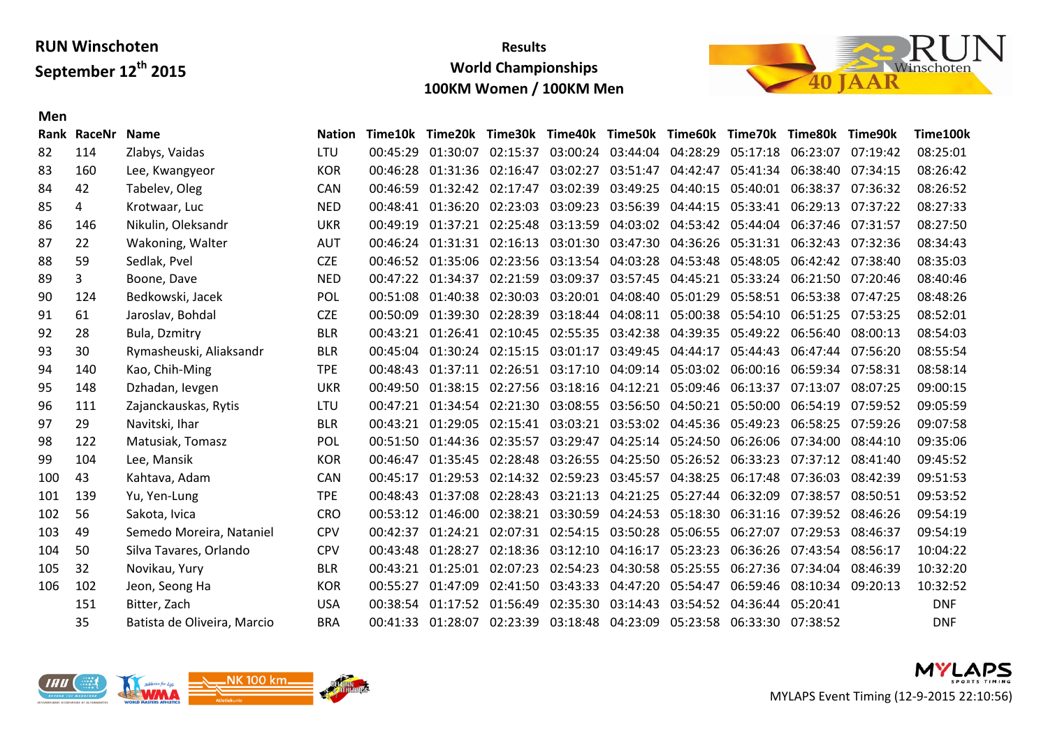**Men**

## **Results World Championships 100KM Women / 100KM Men**



|     | Rank RaceNr | <b>Name</b>                 | <b>Nation</b> |          |                                     |          | Time10k Time20k Time30k Time40k Time50k Time60k Time70k Time80k |          |                            |                   | Time90k  | Time100k   |
|-----|-------------|-----------------------------|---------------|----------|-------------------------------------|----------|-----------------------------------------------------------------|----------|----------------------------|-------------------|----------|------------|
| 82  | 114         | Zlabys, Vaidas              | <b>LTU</b>    | 00:45:29 | 01:30:07 02:15:37                   |          | 03:00:24 03:44:04 04:28:29                                      |          |                            | 05:17:18 06:23:07 | 07:19:42 | 08:25:01   |
| 83  | 160         | Lee, Kwangyeor              | <b>KOR</b>    | 00:46:28 | 01:31:36 02:16:47                   |          | 03:02:27 03:51:47                                               |          | 04:42:47 05:41:34 06:38:40 |                   | 07:34:15 | 08:26:42   |
| 84  | 42          | Tabelev, Oleg               | CAN           | 00:46:59 | 01:32:42 02:17:47                   | 03:02:39 | 03:49:25                                                        | 04:40:15 | 05:40:01                   | 06:38:37          | 07:36:32 | 08:26:52   |
| 85  | 4           | Krotwaar, Luc               | <b>NED</b>    | 00:48:41 | 01:36:20 02:23:03                   |          | 03:09:23 03:56:39                                               | 04:44:15 |                            | 05:33:41 06:29:13 | 07:37:22 | 08:27:33   |
| 86  | 146         | Nikulin, Oleksandr          | <b>UKR</b>    | 00:49:19 |                                     |          | 01:37:21 02:25:48 03:13:59 04:03:02 04:53:42 05:44:04 06:37:46  |          |                            |                   | 07:31:57 | 08:27:50   |
| 87  | 22          | Wakoning, Walter            | <b>AUT</b>    | 00:46:24 |                                     |          | 01:31:31 02:16:13 03:01:30 03:47:30 04:36:26 05:31:31 06:32:43  |          |                            |                   | 07:32:36 | 08:34:43   |
| 88  | 59          | Sedlak, Pvel                | <b>CZE</b>    | 00:46:52 |                                     |          | 01:35:06 02:23:56 03:13:54 04:03:28                             | 04:53:48 | 05:48:05                   | 06:42:42          | 07:38:40 | 08:35:03   |
| 89  | 3           | Boone, Dave                 | <b>NED</b>    | 00:47:22 |                                     |          | 01:34:37 02:21:59 03:09:37 03:57:45 04:45:21 05:33:24 06:21:50  |          |                            |                   | 07:20:46 | 08:40:46   |
| 90  | 124         | Bedkowski, Jacek            | POL           | 00:51:08 |                                     |          | 01:40:38 02:30:03 03:20:01 04:08:40                             |          | 05:01:29 05:58:51 06:53:38 |                   | 07:47:25 | 08:48:26   |
| 91  | 61          | Jaroslav, Bohdal            | <b>CZE</b>    | 00:50:09 | 01:39:30 02:28:39                   |          | 03:18:44 04:08:11                                               | 05:00:38 | 05:54:10 06:51:25          |                   | 07:53:25 | 08:52:01   |
| 92  | 28          | Bula, Dzmitry               | <b>BLR</b>    | 00:43:21 |                                     |          | 01:26:41 02:10:45 02:55:35 03:42:38                             |          | 04:39:35 05:49:22 06:56:40 |                   | 08:00:13 | 08:54:03   |
| 93  | 30          | Rymasheuski, Aliaksandr     | <b>BLR</b>    | 00:45:04 |                                     |          | 01:30:24 02:15:15 03:01:17 03:49:45 04:44:17 05:44:43           |          |                            | 06:47:44          | 07:56:20 | 08:55:54   |
| 94  | 140         | Kao, Chih-Ming              | <b>TPE</b>    | 00:48:43 |                                     |          | 01:37:11 02:26:51 03:17:10 04:09:14                             | 05:03:02 |                            | 06:00:16 06:59:34 | 07:58:31 | 08:58:14   |
| 95  | 148         | Dzhadan, Ievgen             | <b>UKR</b>    | 00:49:50 |                                     |          | 01:38:15 02:27:56 03:18:16 04:12:21                             |          | 05:09:46 06:13:37          | 07:13:07          | 08:07:25 | 09:00:15   |
| 96  | 111         | Zajanckauskas, Rytis        | LTU           | 00:47:21 |                                     |          | 01:34:54 02:21:30 03:08:55 03:56:50 04:50:21 05:50:00 06:54:19  |          |                            |                   | 07:59:52 | 09:05:59   |
| 97  | 29          | Navitski, Ihar              | <b>BLR</b>    | 00:43:21 | 01:29:05 02:15:41 03:03:21          |          | 03:53:02                                                        | 04:45:36 | 05:49:23                   | 06:58:25          | 07:59:26 | 09:07:58   |
| 98  | 122         | Matusiak, Tomasz            | <b>POL</b>    | 00:51:50 | 01:44:36 02:35:57                   |          | 03:29:47 04:25:14 05:24:50 06:26:06 07:34:00                    |          |                            |                   | 08:44:10 | 09:35:06   |
| 99  | 104         | Lee, Mansik                 | <b>KOR</b>    | 00:46:47 | 01:35:45 02:28:48                   |          | 03:26:55 04:25:50                                               |          | 05:26:52 06:33:23 07:37:12 |                   | 08:41:40 | 09:45:52   |
| 100 | 43          | Kahtava, Adam               | <b>CAN</b>    | 00:45:17 | 01:29:53 02:14:32 02:59:23          |          | 03:45:57                                                        | 04:38:25 | 06:17:48                   | 07:36:03          | 08:42:39 | 09:51:53   |
| 101 | 139         | Yu, Yen-Lung                | <b>TPE</b>    | 00:48:43 | 01:37:08 02:28:43                   |          | 03:21:13 04:21:25                                               | 05:27:44 | 06:32:09                   | 07:38:57          | 08:50:51 | 09:53:52   |
| 102 | 56          | Sakota, Ivica               | <b>CRO</b>    | 00:53:12 | 01:46:00 02:38:21 03:30:59          |          | 04:24:53                                                        |          | 05:18:30 06:31:16 07:39:52 |                   | 08:46:26 | 09:54:19   |
| 103 | 49          | Semedo Moreira, Nataniel    | <b>CPV</b>    | 00:42:37 | 01:24:21 02:07:31 02:54:15          |          | 03:50:28                                                        | 05:06:55 | 06:27:07                   | 07:29:53          | 08:46:37 | 09:54:19   |
| 104 | 50          | Silva Tavares, Orlando      | <b>CPV</b>    | 00:43:48 | 01:28:27 02:18:36 03:12:10 04:16:17 |          |                                                                 | 05:23:23 |                            | 06:36:26 07:43:54 | 08:56:17 | 10:04:22   |
| 105 | 32          | Novikau, Yury               | <b>BLR</b>    | 00:43:21 | 01:25:01 02:07:23                   | 02:54:23 | 04:30:58                                                        | 05:25:55 |                            | 06:27:36 07:34:04 | 08:46:39 | 10:32:20   |
| 106 | 102         | Jeon, Seong Ha              | <b>KOR</b>    | 00:55:27 | 01:47:09 02:41:50 03:43:33          |          | 04:47:20                                                        | 05:54:47 |                            | 06:59:46 08:10:34 | 09:20:13 | 10:32:52   |
|     | 151         | Bitter, Zach                | <b>USA</b>    | 00:38:54 | 01:17:52 01:56:49                   | 02:35:30 | 03:14:43                                                        | 03:54:52 | 04:36:44 05:20:41          |                   |          | <b>DNF</b> |
|     | 35          | Batista de Oliveira, Marcio | <b>BRA</b>    | 00:41:33 |                                     |          | 01:28:07 02:23:39 03:18:48 04:23:09                             | 05:23:58 | 06:33:30 07:38:52          |                   |          | <b>DNF</b> |